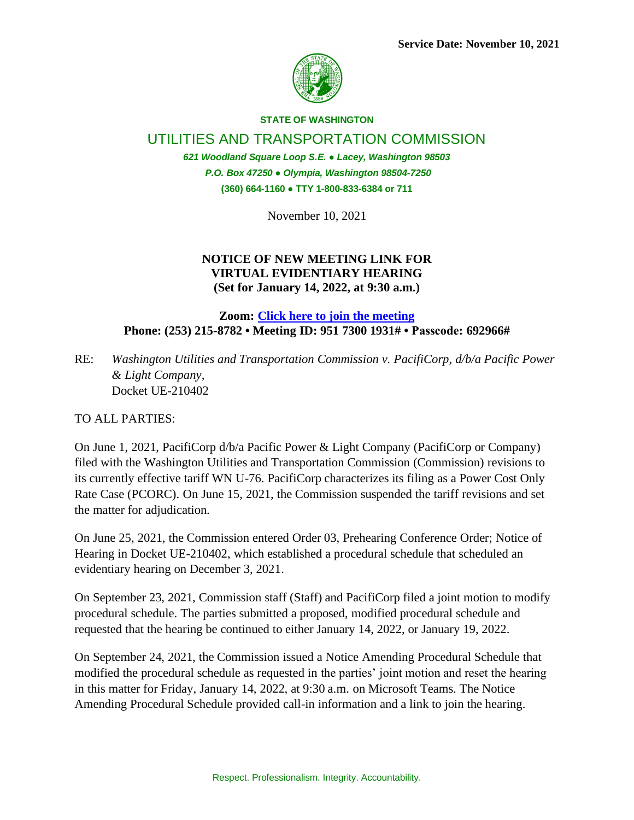

## **STATE OF WASHINGTON**

UTILITIES AND TRANSPORTATION COMMISSION

*621 Woodland Square Loop S.E. ● Lacey, Washington 98503 P.O. Box 47250 ● Olympia, Washington 98504-7250* **(360) 664-1160 ● TTY 1-800-833-6384 or 711**

November 10, 2021

## **NOTICE OF NEW MEETING LINK FOR VIRTUAL EVIDENTIARY HEARING (Set for January 14, 2022, at 9:30 a.m.)**

**Zoom: [Click here to join the meeting](https://utc-wa-gov.zoom.us/j/95173001931?pwd=MDRQdFB6a3VicnorY0ljWlV1QzVQZz09) Phone: (253) 215-8782 • Meeting ID: 951 7300 1931# • Passcode: 692966#**

RE: *Washington Utilities and Transportation Commission v. PacifiCorp, d/b/a Pacific Power & Light Company,*  Docket UE-210402

TO ALL PARTIES:

On June 1, 2021, PacifiCorp d/b/a Pacific Power & Light Company (PacifiCorp or Company) filed with the Washington Utilities and Transportation Commission (Commission) revisions to its currently effective tariff WN U-76. PacifiCorp characterizes its filing as a Power Cost Only Rate Case (PCORC). On June 15, 2021, the Commission suspended the tariff revisions and set the matter for adjudication.

On June 25, 2021, the Commission entered Order 03, Prehearing Conference Order; Notice of Hearing in Docket UE-210402, which established a procedural schedule that scheduled an evidentiary hearing on December 3, 2021.

On September 23, 2021, Commission staff (Staff) and PacifiCorp filed a joint motion to modify procedural schedule. The parties submitted a proposed, modified procedural schedule and requested that the hearing be continued to either January 14, 2022, or January 19, 2022.

On September 24, 2021, the Commission issued a Notice Amending Procedural Schedule that modified the procedural schedule as requested in the parties' joint motion and reset the hearing in this matter for Friday, January 14, 2022, at 9:30 a.m. on Microsoft Teams. The Notice Amending Procedural Schedule provided call-in information and a link to join the hearing.